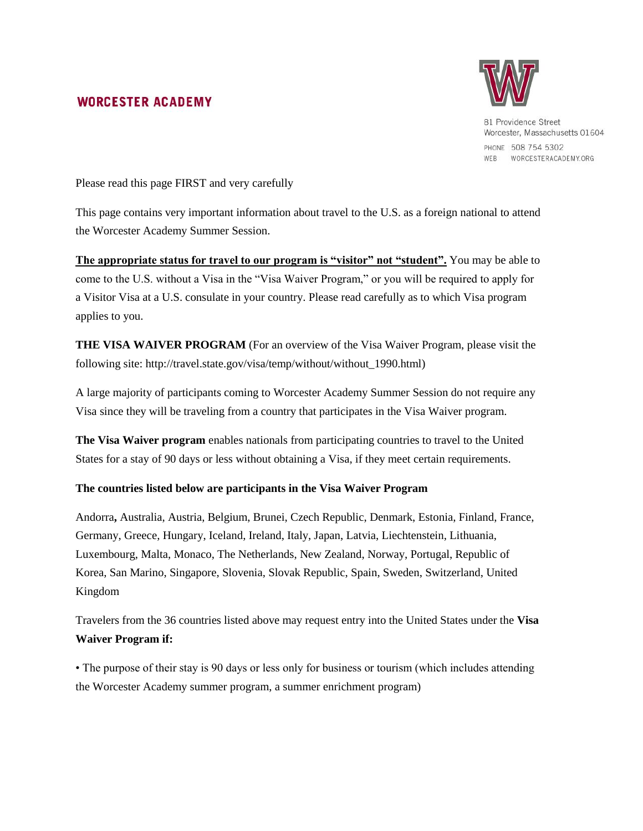## **WORCESTER ACADEMY**



81 Providence Street Worcester, Massachusetts 01604 PHONE 508 754 5302 WEB WORCESTERACADEMY.ORG

Please read this page FIRST and very carefully

This page contains very important information about travel to the U.S. as a foreign national to attend the Worcester Academy Summer Session.

**The appropriate status for travel to our program is "visitor" not "student".** You may be able to come to the U.S. without a Visa in the "Visa Waiver Program," or you will be required to apply for a Visitor Visa at a U.S. consulate in your country. Please read carefully as to which Visa program applies to you.

**THE VISA WAIVER PROGRAM** (For an overview of the Visa Waiver Program, please visit the following site: http://travel.state.gov/visa/temp/without/without\_1990.html)

A large majority of participants coming to Worcester Academy Summer Session do not require any Visa since they will be traveling from a country that participates in the Visa Waiver program.

**The Visa Waiver program** enables nationals from participating countries to travel to the United States for a stay of 90 days or less without obtaining a Visa, if they meet certain requirements.

## **The countries listed below are participants in the Visa Waiver Program**

Andorra**,** Australia, Austria, Belgium, Brunei, Czech Republic, Denmark, Estonia, Finland, France, Germany, Greece, Hungary, Iceland, Ireland, Italy, Japan, Latvia, Liechtenstein, Lithuania, Luxembourg, Malta, Monaco, The Netherlands, New Zealand, Norway, Portugal, Republic of Korea, San Marino, Singapore, Slovenia, Slovak Republic, Spain, Sweden, Switzerland, United Kingdom

Travelers from the 36 countries listed above may request entry into the United States under the **Visa Waiver Program if:** 

• The purpose of their stay is 90 days or less only for business or tourism (which includes attending the Worcester Academy summer program, a summer enrichment program)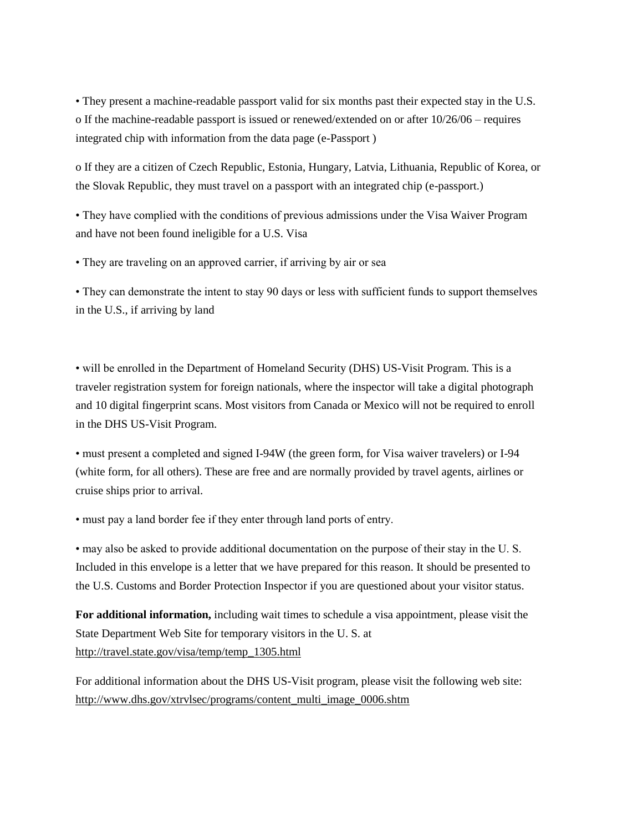• They present a machine-readable passport valid for six months past their expected stay in the U.S. o If the machine-readable passport is issued or renewed/extended on or after 10/26/06 – requires integrated chip with information from the data page (e-Passport )

o If they are a citizen of Czech Republic, Estonia, Hungary, Latvia, Lithuania, Republic of Korea, or the Slovak Republic, they must travel on a passport with an integrated chip (e-passport.)

• They have complied with the conditions of previous admissions under the Visa Waiver Program and have not been found ineligible for a U.S. Visa

• They are traveling on an approved carrier, if arriving by air or sea

• They can demonstrate the intent to stay 90 days or less with sufficient funds to support themselves in the U.S., if arriving by land

• will be enrolled in the Department of Homeland Security (DHS) US-Visit Program. This is a traveler registration system for foreign nationals, where the inspector will take a digital photograph and 10 digital fingerprint scans. Most visitors from Canada or Mexico will not be required to enroll in the DHS US-Visit Program.

• must present a completed and signed I-94W (the green form, for Visa waiver travelers) or I-94 (white form, for all others). These are free and are normally provided by travel agents, airlines or cruise ships prior to arrival.

• must pay a land border fee if they enter through land ports of entry.

• may also be asked to provide additional documentation on the purpose of their stay in the U. S. Included in this envelope is a letter that we have prepared for this reason. It should be presented to the U.S. Customs and Border Protection Inspector if you are questioned about your visitor status.

**For additional information,** including wait times to schedule a visa appointment, please visit the State Department Web Site for temporary visitors in the U. S. at [http://travel.state.gov/visa/temp/temp\\_1305.html](http://travel.state.gov/visa/temp/temp_1305.html)

For additional information about the DHS US-Visit program, please visit the following web site: [http://www.dhs.gov/xtrvlsec/programs/content\\_multi\\_image\\_0006.shtm](http://www.dhs.gov/xtrvlsec/programs/content_multi_image_0006.shtm)